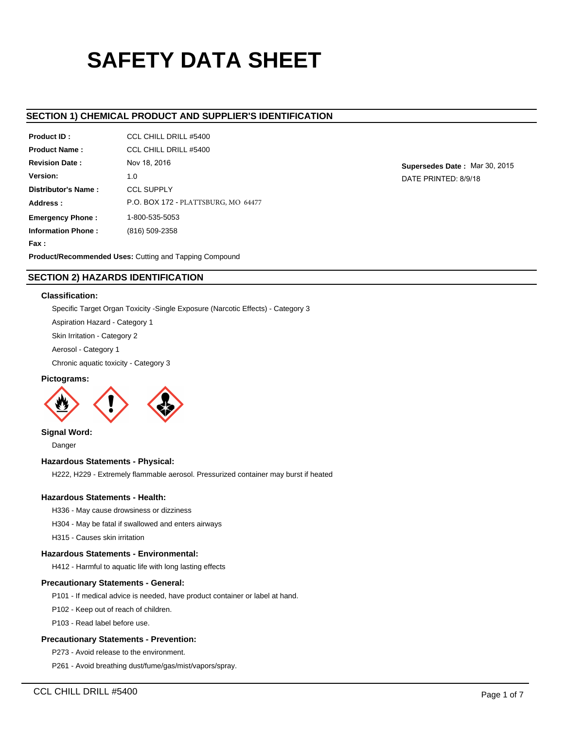# **SAFETY DATA SHEET**

## **SECTION 1) CHEMICAL PRODUCT AND SUPPLIER'S IDENTIFICATION**

| <b>Product ID:</b>        | CCL CHILL DRILL #5400               |
|---------------------------|-------------------------------------|
| <b>Product Name:</b>      | CCL CHILL DRILL #5400               |
| <b>Revision Date:</b>     | Nov 18, 2016                        |
| Version:                  | 1.0                                 |
| Distributor's Name:       | <b>CCL SUPPLY</b>                   |
| Address:                  | P.O. BOX 172 - PLATTSBURG, MO 64477 |
| <b>Emergency Phone:</b>   | 1-800-535-5053                      |
| <b>Information Phone:</b> | (816) 509-2358                      |
| Fax:                      |                                     |
|                           |                                     |

**Supersedes Date :** Mar 30, 2015 DATE PRINTED: 8/9/18

**Product/Recommended Uses:** Cutting and Tapping Compound

## **SECTION 2) HAZARDS IDENTIFICATION**

## **Classification:**

Specific Target Organ Toxicity -Single Exposure (Narcotic Effects) - Category 3

Aspiration Hazard - Category 1

Skin Irritation - Category 2

Aerosol - Category 1

Chronic aquatic toxicity - Category 3

## **Pictograms:**



**Signal Word:**

Danger

## **Hazardous Statements - Physical:**

H222, H229 - Extremely flammable aerosol. Pressurized container may burst if heated

## **Hazardous Statements - Health:**

H336 - May cause drowsiness or dizziness

H304 - May be fatal if swallowed and enters airways

H315 - Causes skin irritation

## **Hazardous Statements - Environmental:**

H412 - Harmful to aquatic life with long lasting effects

## **Precautionary Statements - General:**

P101 - If medical advice is needed, have product container or label at hand.

P102 - Keep out of reach of children.

P103 - Read label before use.

## **Precautionary Statements - Prevention:**

P273 - Avoid release to the environment.

P261 - Avoid breathing dust/fume/gas/mist/vapors/spray.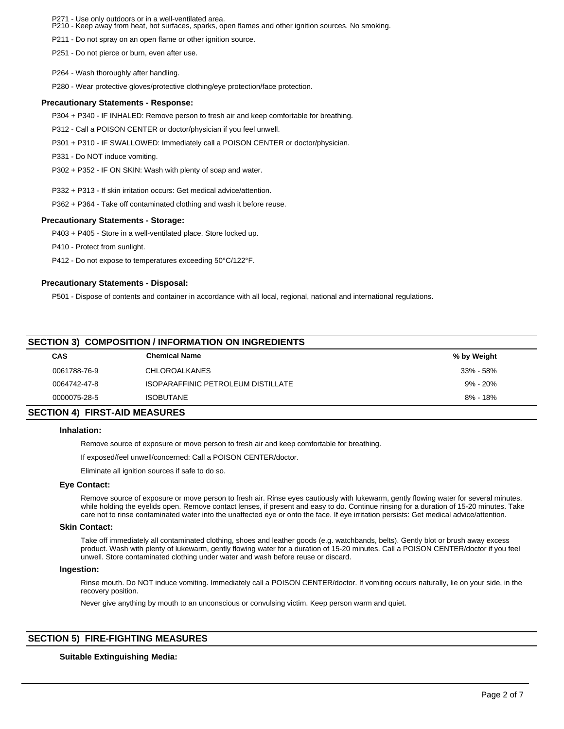- Use only outdoors or in a well-ventilated area.

P271 - Use only outdoors or in a well-verlulated area.<br>P210 - Keep away from heat, hot surfaces, sparks, open flames and other ignition sources. No smoking.

P211 - Do not spray on an open flame or other ignition source.

P251 - Do not pierce or burn, even after use.

P264 - Wash thoroughly after handling.

P280 - Wear protective gloves/protective clothing/eye protection/face protection.

#### **Precautionary Statements - Response:**

P304 + P340 - IF INHALED: Remove person to fresh air and keep comfortable for breathing.

P312 - Call a POISON CENTER or doctor/physician if you feel unwell.

P301 + P310 - IF SWALLOWED: Immediately call a POISON CENTER or doctor/physician.

P331 - Do NOT induce vomiting.

P302 + P352 - IF ON SKIN: Wash with plenty of soap and water.

P332 + P313 - If skin irritation occurs: Get medical advice/attention.

P362 + P364 - Take off contaminated clothing and wash it before reuse.

#### **Precautionary Statements - Storage:**

P403 + P405 - Store in a well-ventilated place. Store locked up.

P410 - Protect from sunlight.

P412 - Do not expose to temperatures exceeding 50°C/122°F.

## **Precautionary Statements - Disposal:**

P501 - Dispose of contents and container in accordance with all local, regional, national and international regulations.

## **SECTION 3) COMPOSITION / INFORMATION ON INGREDIENTS**

|                                      | <b>CAS</b>   | <b>Chemical Name</b>               | % by Weight  |  |
|--------------------------------------|--------------|------------------------------------|--------------|--|
|                                      | 0061788-76-9 | <b>CHLOROALKANES</b>               | 33% - 58%    |  |
|                                      | 0064742-47-8 | ISOPARAFFINIC PETROLEUM DISTILLATE | $9\% - 20\%$ |  |
|                                      | 0000075-28-5 | <b>ISOBUTANE</b>                   | $8\% - 18\%$ |  |
| <b>SECTION 4) FIRST-AID MEASURES</b> |              |                                    |              |  |

## **Inhalation:**

Remove source of exposure or move person to fresh air and keep comfortable for breathing.

If exposed/feel unwell/concerned: Call a POISON CENTER/doctor.

Eliminate all ignition sources if safe to do so.

#### **Eye Contact:**

Remove source of exposure or move person to fresh air. Rinse eyes cautiously with lukewarm, gently flowing water for several minutes, while holding the eyelids open. Remove contact lenses, if present and easy to do. Continue rinsing for a duration of 15-20 minutes. Take care not to rinse contaminated water into the unaffected eye or onto the face. If eye irritation persists: Get medical advice/attention.

#### **Skin Contact:**

Take off immediately all contaminated clothing, shoes and leather goods (e.g. watchbands, belts). Gently blot or brush away excess product. Wash with plenty of lukewarm, gently flowing water for a duration of 15-20 minutes. Call a POISON CENTER/doctor if you feel unwell. Store contaminated clothing under water and wash before reuse or discard.

#### **Ingestion:**

Rinse mouth. Do NOT induce vomiting. Immediately call a POISON CENTER/doctor. If vomiting occurs naturally, lie on your side, in the recovery position.

Never give anything by mouth to an unconscious or convulsing victim. Keep person warm and quiet.

## **SECTION 5) FIRE-FIGHTING MEASURES**

## **Suitable Extinguishing Media:**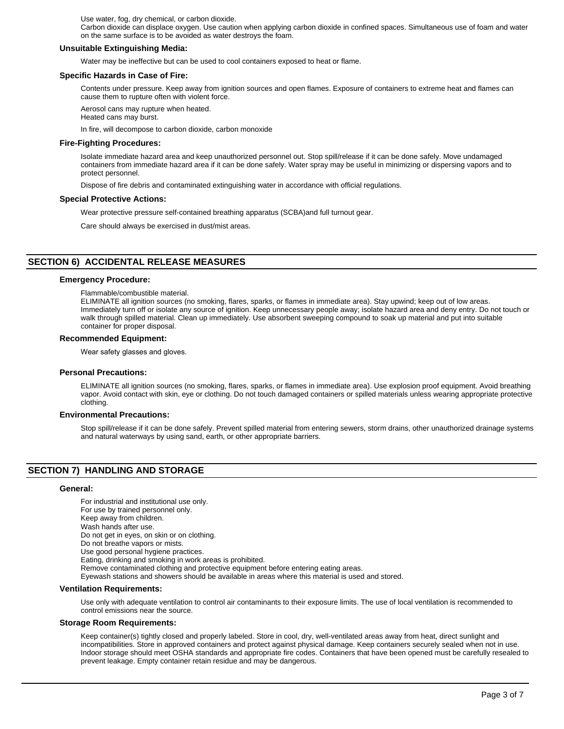Use water, fog, dry chemical, or carbon dioxide.

Carbon dioxide can displace oxygen. Use caution when applying carbon dioxide in confined spaces. Simultaneous use of foam and water on the same surface is to be avoided as water destroys the foam.

## **Unsuitable Extinguishing Media:**

Water may be ineffective but can be used to cool containers exposed to heat or flame.

#### **Specific Hazards in Case of Fire:**

Contents under pressure. Keep away from ignition sources and open flames. Exposure of containers to extreme heat and flames can cause them to rupture often with violent force.

Aerosol cans may rupture when heated. Heated cans may burst.

In fire, will decompose to carbon dioxide, carbon monoxide

## **Fire-Fighting Procedures:**

Isolate immediate hazard area and keep unauthorized personnel out. Stop spill/release if it can be done safely. Move undamaged containers from immediate hazard area if it can be done safely. Water spray may be useful in minimizing or dispersing vapors and to protect personnel.

Dispose of fire debris and contaminated extinguishing water in accordance with official regulations.

#### **Special Protective Actions:**

Wear protective pressure self-contained breathing apparatus (SCBA)and full turnout gear.

Care should always be exercised in dust/mist areas.

## **SECTION 6) ACCIDENTAL RELEASE MEASURES**

#### **Emergency Procedure:**

Flammable/combustible material.

ELIMINATE all ignition sources (no smoking, flares, sparks, or flames in immediate area). Stay upwind; keep out of low areas. Immediately turn off or isolate any source of ignition. Keep unnecessary people away; isolate hazard area and deny entry. Do not touch or walk through spilled material. Clean up immediately. Use absorbent sweeping compound to soak up material and put into suitable container for proper disposal.

#### **Recommended Equipment:**

Wear safety glasses and gloves.

#### **Personal Precautions:**

ELIMINATE all ignition sources (no smoking, flares, sparks, or flames in immediate area). Use explosion proof equipment. Avoid breathing vapor. Avoid contact with skin, eye or clothing. Do not touch damaged containers or spilled materials unless wearing appropriate protective clothing.

#### **Environmental Precautions:**

Stop spill/release if it can be done safely. Prevent spilled material from entering sewers, storm drains, other unauthorized drainage systems and natural waterways by using sand, earth, or other appropriate barriers.

## **SECTION 7) HANDLING AND STORAGE**

#### **General:**

For industrial and institutional use only. For use by trained personnel only. Keep away from children. Wash hands after use. Do not get in eyes, on skin or on clothing. Do not breathe vapors or mists. Use good personal hygiene practices. Eating, drinking and smoking in work areas is prohibited. Remove contaminated clothing and protective equipment before entering eating areas. Eyewash stations and showers should be available in areas where this material is used and stored.

## **Ventilation Requirements:**

Use only with adequate ventilation to control air contaminants to their exposure limits. The use of local ventilation is recommended to control emissions near the source.

#### **Storage Room Requirements:**

Keep container(s) tightly closed and properly labeled. Store in cool, dry, well-ventilated areas away from heat, direct sunlight and incompatibilities. Store in approved containers and protect against physical damage. Keep containers securely sealed when not in use. Indoor storage should meet OSHA standards and appropriate fire codes. Containers that have been opened must be carefully resealed to prevent leakage. Empty container retain residue and may be dangerous.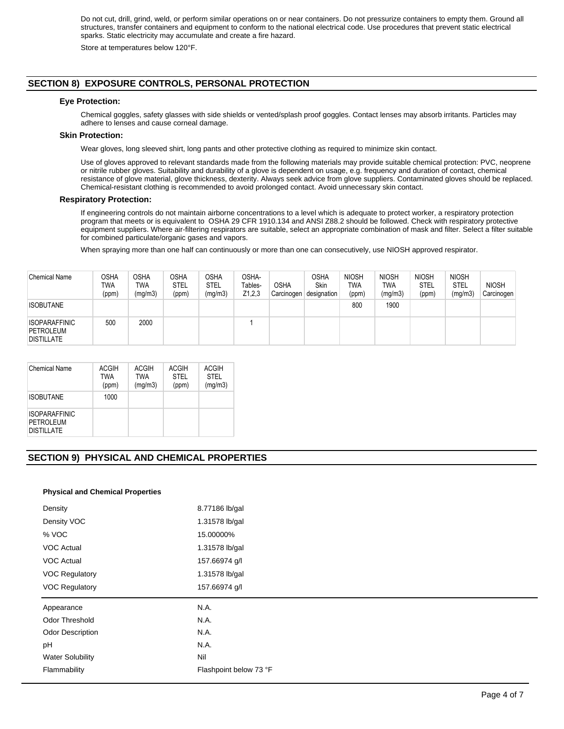Do not cut, drill, grind, weld, or perform similar operations on or near containers. Do not pressurize containers to empty them. Ground all structures, transfer containers and equipment to conform to the national electrical code. Use procedures that prevent static electrical sparks. Static electricity may accumulate and create a fire hazard.

Store at temperatures below 120°F.

## **SECTION 8) EXPOSURE CONTROLS, PERSONAL PROTECTION**

## **Eye Protection:**

Chemical goggles, safety glasses with side shields or vented/splash proof goggles. Contact lenses may absorb irritants. Particles may adhere to lenses and cause corneal damage.

## **Skin Protection:**

Wear gloves, long sleeved shirt, long pants and other protective clothing as required to minimize skin contact.

Use of gloves approved to relevant standards made from the following materials may provide suitable chemical protection: PVC, neoprene or nitrile rubber gloves. Suitability and durability of a glove is dependent on usage, e.g. frequency and duration of contact, chemical resistance of glove material, glove thickness, dexterity. Always seek advice from glove suppliers. Contaminated gloves should be replaced. Chemical-resistant clothing is recommended to avoid prolonged contact. Avoid unnecessary skin contact.

## **Respiratory Protection:**

If engineering controls do not maintain airborne concentrations to a level which is adequate to protect worker, a respiratory protection program that meets or is equivalent to OSHA 29 CFR 1910.134 and ANSI Z88.2 should be followed. Check with respiratory protective equipment suppliers. Where air-filtering respirators are suitable, select an appropriate combination of mask and filter. Select a filter suitable for combined particulate/organic gases and vapors.

When spraying more than one half can continuously or more than one can consecutively, use NIOSH approved respirator.

| <b>Chemical Name</b>                                          | OSHA<br>TWA<br>(ppm) | OSHA<br>TWA<br>(mq/m3) | <b>OSHA</b><br><b>STEL</b><br>(ppm) | <b>OSHA</b><br>STEL<br>(mg/m3) | OSHA-<br>Tables-<br>Z1,2,3 | <b>OSHA</b><br>Carcinogen | OSHA<br>Skin<br>designation | <b>NIOSH</b><br>TWA<br>(ppm) | <b>NIOSH</b><br><b>TWA</b><br>(mg/m3) | <b>NIOSH</b><br>STEL<br>(ppm) | <b>NIOSH</b><br>STEL<br>(mg/m3) | <b>NIOSH</b><br>Carcinogen |
|---------------------------------------------------------------|----------------------|------------------------|-------------------------------------|--------------------------------|----------------------------|---------------------------|-----------------------------|------------------------------|---------------------------------------|-------------------------------|---------------------------------|----------------------------|
| <b>ISOBUTANE</b>                                              |                      |                        |                                     |                                |                            |                           |                             | 800                          | 1900                                  |                               |                                 |                            |
| <b>ISOPARAFFINIC</b><br><b>PETROLEUM</b><br><b>DISTILLATE</b> | 500                  | 2000                   |                                     |                                |                            |                           |                             |                              |                                       |                               |                                 |                            |

| Chemical Name                                          | <b>ACGIH</b><br><b>TWA</b><br>(ppm) | <b>ACGIH</b><br><b>TWA</b><br>(mg/m3) | ACGIH<br><b>STEL</b><br>(ppm) | ACGIH<br><b>STEL</b><br>(mg/m3) |
|--------------------------------------------------------|-------------------------------------|---------------------------------------|-------------------------------|---------------------------------|
| <b>ISOBUTANE</b>                                       | 1000                                |                                       |                               |                                 |
| <b>ISOPARAFFINIC</b><br>PETROLEUM<br><b>DISTILLATE</b> |                                     |                                       |                               |                                 |

## **SECTION 9) PHYSICAL AND CHEMICAL PROPERTIES**

#### **Physical and Chemical Properties**

| Density                 | 8.77186 lb/gal |
|-------------------------|----------------|
| Density VOC             | 1.31578 lb/gal |
| % VOC                   | 15.00000%      |
| <b>VOC Actual</b>       | 1.31578 lb/gal |
| VOC Actual              | 157.66974 g/l  |
| <b>VOC Regulatory</b>   | 1.31578 lb/gal |
| <b>VOC Regulatory</b>   | 157.66974 g/l  |
|                         |                |
| Appearance              | N.A.           |
| Odor Threshold          | N.A.           |
| <b>Odor Description</b> | N.A.           |
| pH                      | N.A.           |
| <b>Water Solubility</b> | Nil            |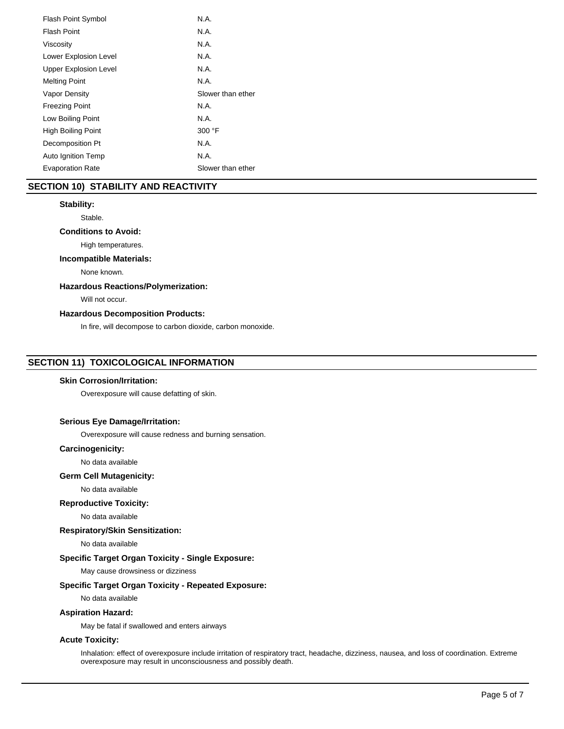| <b>Flash Point Symbol</b>    | N.A.              |
|------------------------------|-------------------|
| Flash Point                  | N.A.              |
| Viscosity                    | N.A.              |
| Lower Explosion Level        | N.A.              |
| <b>Upper Explosion Level</b> | N.A.              |
| <b>Melting Point</b>         | N.A.              |
| Vapor Density                | Slower than ether |
| <b>Freezing Point</b>        | N.A.              |
| Low Boiling Point            | N.A.              |
| <b>High Boiling Point</b>    | 300 °F            |
| Decomposition Pt             | N.A.              |
| <b>Auto Ignition Temp</b>    | N.A.              |
| <b>Evaporation Rate</b>      | Slower than ether |

## **SECTION 10) STABILITY AND REACTIVITY**

## **Stability:**

Stable.

## **Conditions to Avoid:**

High temperatures.

## **Incompatible Materials:**

None known.

## **Hazardous Reactions/Polymerization:**

Will not occur.

## **Hazardous Decomposition Products:**

In fire, will decompose to carbon dioxide, carbon monoxide.

## **SECTION 11) TOXICOLOGICAL INFORMATION**

## **Skin Corrosion/Irritation:**

Overexposure will cause defatting of skin.

## **Serious Eye Damage/Irritation:**

Overexposure will cause redness and burning sensation.

## **Carcinogenicity:**

No data available

## **Germ Cell Mutagenicity:**

No data available

#### **Reproductive Toxicity:**

No data available

**Respiratory/Skin Sensitization:**

No data available

## **Specific Target Organ Toxicity - Single Exposure:**

May cause drowsiness or dizziness

## **Specific Target Organ Toxicity - Repeated Exposure:**

No data available

## **Aspiration Hazard:**

May be fatal if swallowed and enters airways

## **Acute Toxicity:**

Inhalation: effect of overexposure include irritation of respiratory tract, headache, dizziness, nausea, and loss of coordination. Extreme overexposure may result in unconsciousness and possibly death.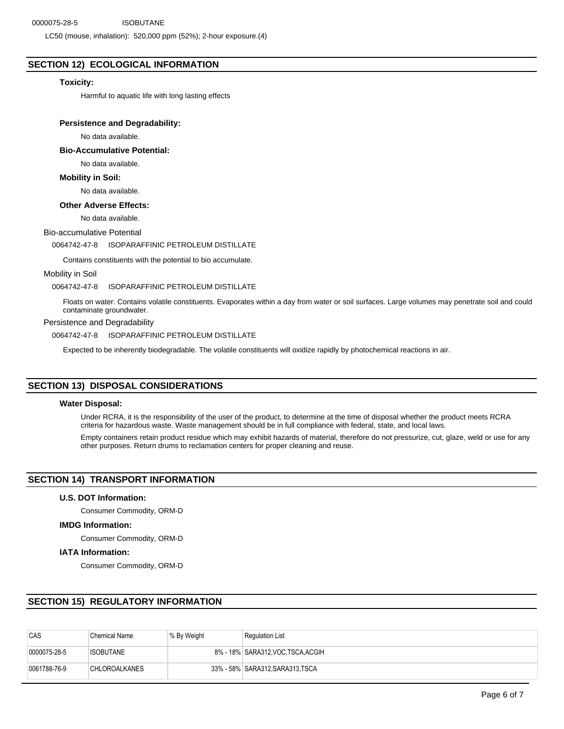LC50 (mouse, inhalation): 520,000 ppm (52%); 2-hour exposure.(4)

## **SECTION 12) ECOLOGICAL INFORMATION**

## **Toxicity:**

Harmful to aquatic life with long lasting effects

## **Persistence and Degradability:**

No data available.

**Bio-Accumulative Potential:**

No data available.

## **Mobility in Soil:**

No data available.

## **Other Adverse Effects:**

No data available.

## Bio-accumulative Potential

0064742-47-8 ISOPARAFFINIC PETROLEUM DISTILLATE

Contains constituents with the potential to bio accumulate.

#### Mobility in Soil

0064742-47-8 ISOPARAFFINIC PETROLEUM DISTILLATE

Floats on water. Contains volatile constituents. Evaporates within a day from water or soil surfaces. Large volumes may penetrate soil and could contaminate groundwater.

#### Persistence and Degradability

0064742-47-8 ISOPARAFFINIC PETROLEUM DISTILLATE

Expected to be inherently biodegradable. The volatile constituents will oxidize rapidly by photochemical reactions in air.

## **SECTION 13) DISPOSAL CONSIDERATIONS**

## **Water Disposal:**

Under RCRA, it is the responsibility of the user of the product, to determine at the time of disposal whether the product meets RCRA criteria for hazardous waste. Waste management should be in full compliance with federal, state, and local laws.

Empty containers retain product residue which may exhibit hazards of material, therefore do not pressurize, cut, glaze, weld or use for any other purposes. Return drums to reclamation centers for proper cleaning and reuse.

## **SECTION 14) TRANSPORT INFORMATION**

#### **U.S. DOT Information:**

Consumer Commodity, ORM-D

## **IMDG Information:**

Consumer Commodity, ORM-D

## **IATA Information:**

Consumer Commodity, ORM-D

## **SECTION 15) REGULATORY INFORMATION**

| <b>CAS</b>   | <b>Chemical Name</b> | ∣% By Weight | <b>Regulation List</b>            |
|--------------|----------------------|--------------|-----------------------------------|
| 0000075-28-5 | ISOBUTANE            |              | 8% - 18% SARA312, VOC TSCA, ACGIH |
| 0061788-76-9 | <b>CHLOROALKANES</b> |              | 33% - 58% SARA312, SARA313, TSCA  |